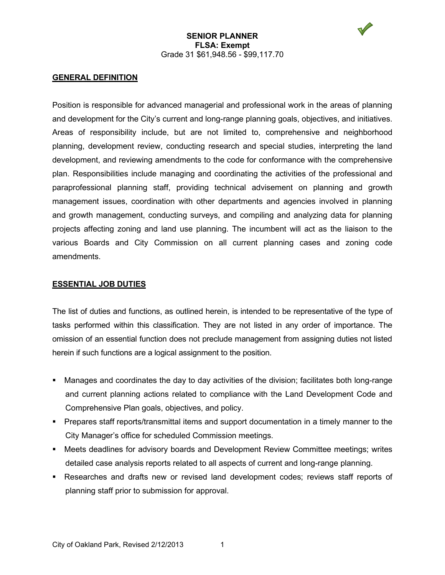

Position is responsible for advanced managerial and professional work in the areas of planning and development for the City's current and long-range planning goals, objectives, and initiatives. Areas of responsibility include, but are not limited to, comprehensive and neighborhood planning, development review, conducting research and special studies, interpreting the land development, and reviewing amendments to the code for conformance with the comprehensive plan. Responsibilities include managing and coordinating the activities of the professional and paraprofessional planning staff, providing technical advisement on planning and growth management issues, coordination with other departments and agencies involved in planning and growth management, conducting surveys, and compiling and analyzing data for planning projects affecting zoning and land use planning. The incumbent will act as the liaison to the various Boards and City Commission on all current planning cases and zoning code amendments.

#### **ESSENTIAL JOB DUTIES**

The list of duties and functions, as outlined herein, is intended to be representative of the type of tasks performed within this classification. They are not listed in any order of importance. The omission of an essential function does not preclude management from assigning duties not listed herein if such functions are a logical assignment to the position.

- Manages and coordinates the day to day activities of the division; facilitates both long-range and current planning actions related to compliance with the Land Development Code and Comprehensive Plan goals, objectives, and policy.
- Prepares staff reports/transmittal items and support documentation in a timely manner to the City Manager's office for scheduled Commission meetings.
- Meets deadlines for advisory boards and Development Review Committee meetings; writes detailed case analysis reports related to all aspects of current and long-range planning.
- Researches and drafts new or revised land development codes; reviews staff reports of planning staff prior to submission for approval.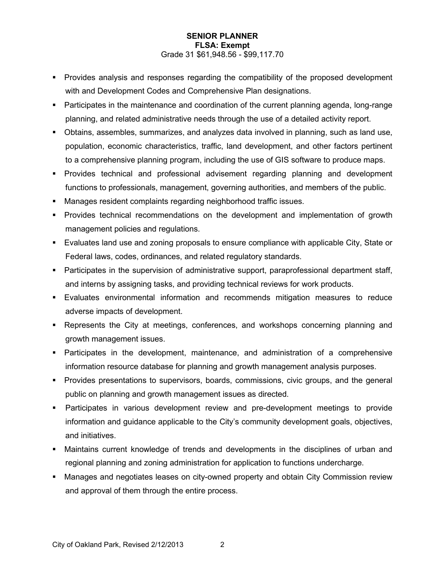- Provides analysis and responses regarding the compatibility of the proposed development with and Development Codes and Comprehensive Plan designations.
- Participates in the maintenance and coordination of the current planning agenda, long-range planning, and related administrative needs through the use of a detailed activity report.
- Obtains, assembles, summarizes, and analyzes data involved in planning, such as land use, population, economic characteristics, traffic, land development, and other factors pertinent to a comprehensive planning program, including the use of GIS software to produce maps.
- Provides technical and professional advisement regarding planning and development functions to professionals, management, governing authorities, and members of the public.
- Manages resident complaints regarding neighborhood traffic issues.
- **Provides technical recommendations on the development and implementation of growth** management policies and regulations.
- Evaluates land use and zoning proposals to ensure compliance with applicable City, State or Federal laws, codes, ordinances, and related regulatory standards.
- Participates in the supervision of administrative support, paraprofessional department staff, and interns by assigning tasks, and providing technical reviews for work products.
- Evaluates environmental information and recommends mitigation measures to reduce adverse impacts of development.
- Represents the City at meetings, conferences, and workshops concerning planning and growth management issues.
- Participates in the development, maintenance, and administration of a comprehensive information resource database for planning and growth management analysis purposes.
- Provides presentations to supervisors, boards, commissions, civic groups, and the general public on planning and growth management issues as directed.
- Participates in various development review and pre-development meetings to provide information and guidance applicable to the City's community development goals, objectives, and initiatives.
- Maintains current knowledge of trends and developments in the disciplines of urban and regional planning and zoning administration for application to functions undercharge.
- Manages and negotiates leases on city-owned property and obtain City Commission review and approval of them through the entire process.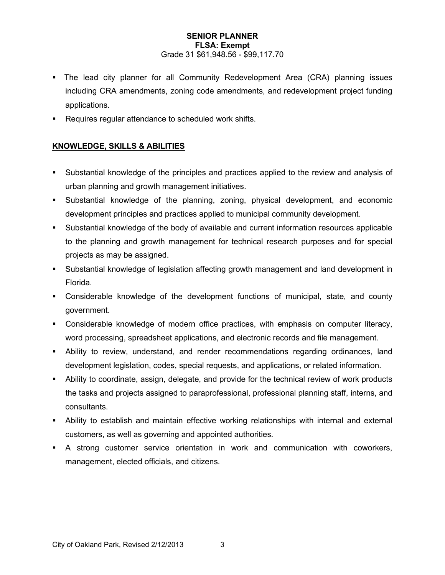- The lead city planner for all Community Redevelopment Area (CRA) planning issues including CRA amendments, zoning code amendments, and redevelopment project funding applications.
- Requires regular attendance to scheduled work shifts.

# **KNOWLEDGE, SKILLS & ABILITIES**

- Substantial knowledge of the principles and practices applied to the review and analysis of urban planning and growth management initiatives.
- Substantial knowledge of the planning, zoning, physical development, and economic development principles and practices applied to municipal community development.
- Substantial knowledge of the body of available and current information resources applicable to the planning and growth management for technical research purposes and for special projects as may be assigned.
- Substantial knowledge of legislation affecting growth management and land development in Florida.
- Considerable knowledge of the development functions of municipal, state, and county government.
- Considerable knowledge of modern office practices, with emphasis on computer literacy, word processing, spreadsheet applications, and electronic records and file management.
- Ability to review, understand, and render recommendations regarding ordinances, land development legislation, codes, special requests, and applications, or related information.
- Ability to coordinate, assign, delegate, and provide for the technical review of work products the tasks and projects assigned to paraprofessional, professional planning staff, interns, and consultants.
- Ability to establish and maintain effective working relationships with internal and external customers, as well as governing and appointed authorities.
- A strong customer service orientation in work and communication with coworkers, management, elected officials, and citizens.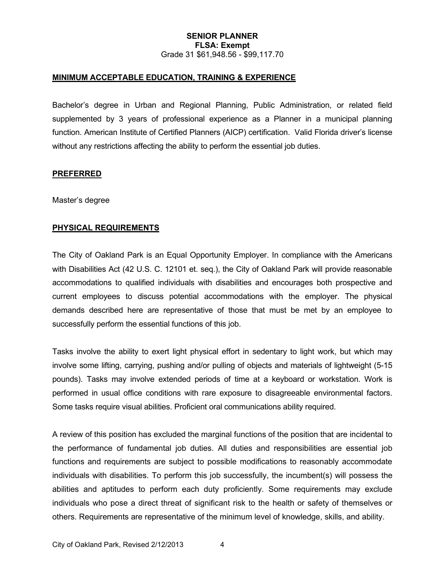# **MINIMUM ACCEPTABLE EDUCATION, TRAINING & EXPERIENCE**

Bachelor's degree in Urban and Regional Planning, Public Administration, or related field supplemented by 3 years of professional experience as a Planner in a municipal planning function. American Institute of Certified Planners (AICP) certification. Valid Florida driver's license without any restrictions affecting the ability to perform the essential job duties.

#### **PREFERRED**

Master's degree

# **PHYSICAL REQUIREMENTS**

The City of Oakland Park is an Equal Opportunity Employer. In compliance with the Americans with Disabilities Act (42 U.S. C. 12101 et. seq.), the City of Oakland Park will provide reasonable accommodations to qualified individuals with disabilities and encourages both prospective and current employees to discuss potential accommodations with the employer. The physical demands described here are representative of those that must be met by an employee to successfully perform the essential functions of this job.

Tasks involve the ability to exert light physical effort in sedentary to light work, but which may involve some lifting, carrying, pushing and/or pulling of objects and materials of lightweight (5-15 pounds). Tasks may involve extended periods of time at a keyboard or workstation. Work is performed in usual office conditions with rare exposure to disagreeable environmental factors. Some tasks require visual abilities. Proficient oral communications ability required.

A review of this position has excluded the marginal functions of the position that are incidental to the performance of fundamental job duties. All duties and responsibilities are essential job functions and requirements are subject to possible modifications to reasonably accommodate individuals with disabilities. To perform this job successfully, the incumbent(s) will possess the abilities and aptitudes to perform each duty proficiently. Some requirements may exclude individuals who pose a direct threat of significant risk to the health or safety of themselves or others. Requirements are representative of the minimum level of knowledge, skills, and ability.